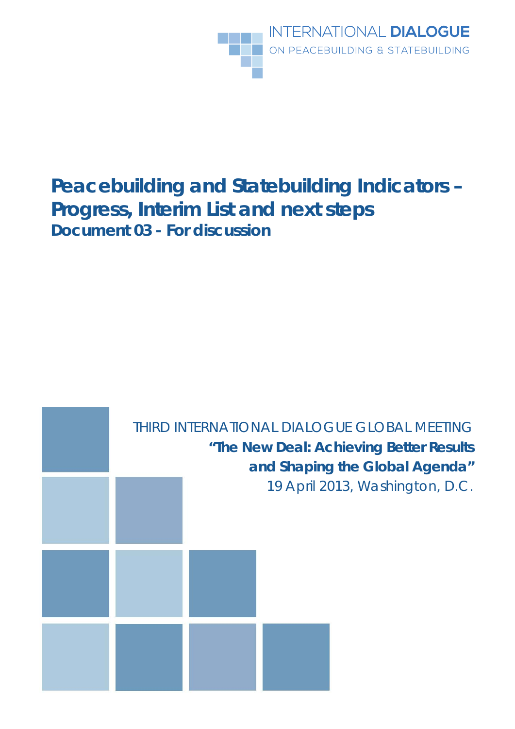

# **Peacebuilding and Statebuilding Indicators – Progress, Interim List and next steps** *Document 03 - For discussion*

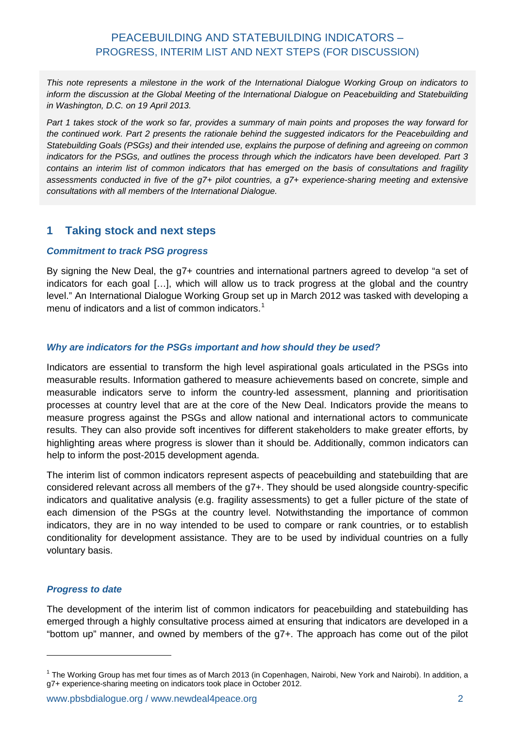# PEACEBUILDING AND STATEBUILDING INDICATORS – PROGRESS, INTERIM LIST AND NEXT STEPS (FOR DISCUSSION)

*This note represents a milestone in the work of the International Dialogue Working Group on indicators to inform the discussion at the Global Meeting of the International Dialogue on Peacebuilding and Statebuilding in Washington, D.C. on 19 April 2013.* 

*Part 1 takes stock of the work so far, provides a summary of main points and proposes the way forward for the continued work. Part 2 presents the rationale behind the suggested indicators for the Peacebuilding and Statebuilding Goals (PSGs) and their intended use, explains the purpose of defining and agreeing on common indicators for the PSGs, and outlines the process through which the indicators have been developed. Part 3 contains an interim list of common indicators that has emerged on the basis of consultations and fragility assessments conducted in five of the g7+ pilot countries, a g7+ experience-sharing meeting and extensive consultations with all members of the International Dialogue.*

### **1 Taking stock and next steps**

#### *Commitment to track PSG progress*

By signing the New Deal, the g7+ countries and international partners agreed to develop "a set of indicators for each goal […], which will allow us to track progress at the global and the country level." An International Dialogue Working Group set up in March 2012 was tasked with developing a menu of indicators and a list of common indicators.<sup>[1](#page-1-0)</sup>

#### *Why are indicators for the PSGs important and how should they be used?*

Indicators are essential to transform the high level aspirational goals articulated in the PSGs into measurable results. Information gathered to measure achievements based on concrete, simple and measurable indicators serve to inform the country-led assessment, planning and prioritisation processes at country level that are at the core of the New Deal. Indicators provide the means to measure progress against the PSGs and allow national and international actors to communicate results. They can also provide soft incentives for different stakeholders to make greater efforts, by highlighting areas where progress is slower than it should be. Additionally, common indicators can help to inform the post-2015 development agenda.

The interim list of common indicators represent aspects of peacebuilding and statebuilding that are considered relevant across all members of the g7+. They should be used alongside country-specific indicators and qualitative analysis (e.g. fragility assessments) to get a fuller picture of the state of each dimension of the PSGs at the country level. Notwithstanding the importance of common indicators, they are in no way intended to be used to compare or rank countries, or to establish conditionality for development assistance. They are to be used by individual countries on a fully voluntary basis.

#### *Progress to date*

<u>.</u>

The development of the interim list of common indicators for peacebuilding and statebuilding has emerged through a highly consultative process aimed at ensuring that indicators are developed in a "bottom up" manner, and owned by members of the g7+. The approach has come out of the pilot

<span id="page-1-0"></span> $1$  The Working Group has met four times as of March 2013 (in Copenhagen, Nairobi, New York and Nairobi). In addition, a g7+ experience-sharing meeting on indicators took place in October 2012.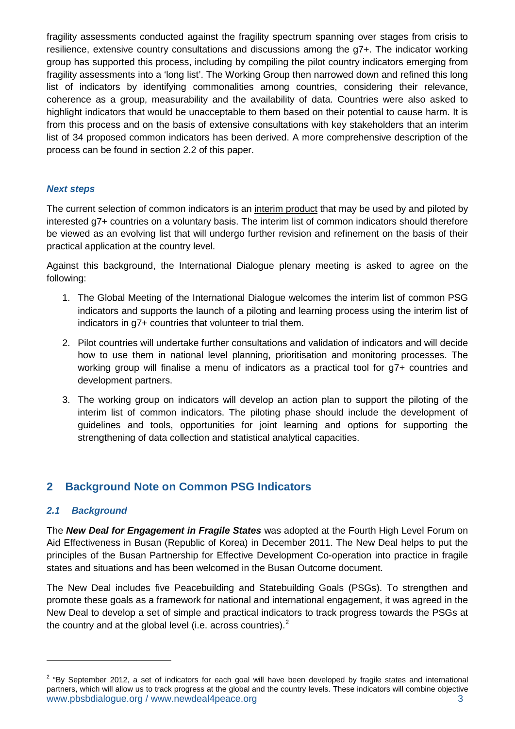fragility assessments conducted against the fragility spectrum spanning over stages from crisis to resilience, extensive country consultations and discussions among the g7+. The indicator working group has supported this process, including by compiling the pilot country indicators emerging from fragility assessments into a 'long list'. The Working Group then narrowed down and refined this long list of indicators by identifying commonalities among countries, considering their relevance, coherence as a group, measurability and the availability of data. Countries were also asked to highlight indicators that would be unacceptable to them based on their potential to cause harm. It is from this process and on the basis of extensive consultations with key stakeholders that an interim list of 34 proposed common indicators has been derived. A more comprehensive description of the process can be found in section 2.2 of this paper.

#### *Next steps*

The current selection of common indicators is an interim product that may be used by and piloted by interested g7+ countries on a voluntary basis. The interim list of common indicators should therefore be viewed as an evolving list that will undergo further revision and refinement on the basis of their practical application at the country level.

Against this background, the International Dialogue plenary meeting is asked to agree on the following:

- 1. The Global Meeting of the International Dialogue welcomes the interim list of common PSG indicators and supports the launch of a piloting and learning process using the interim list of indicators in g7+ countries that volunteer to trial them.
- 2. Pilot countries will undertake further consultations and validation of indicators and will decide how to use them in national level planning, prioritisation and monitoring processes. The working group will finalise a menu of indicators as a practical tool for g7+ countries and development partners.
- 3. The working group on indicators will develop an action plan to support the piloting of the interim list of common indicators. The piloting phase should include the development of guidelines and tools, opportunities for joint learning and options for supporting the strengthening of data collection and statistical analytical capacities.

# **2 Background Note on Common PSG Indicators**

#### *2.1 Background*

<u>.</u>

The *New Deal for Engagement in Fragile States* was adopted at the Fourth High Level Forum on Aid Effectiveness in Busan (Republic of Korea) in December 2011. The New Deal helps to put the principles of the Busan Partnership for Effective Development Co-operation into practice in fragile states and situations and has been welcomed in the Busan Outcome document.

The New Deal includes five Peacebuilding and Statebuilding Goals (PSGs). To strengthen and promote these goals as a framework for national and international engagement, it was agreed in the New Deal to develop a set of simple and practical indicators to track progress towards the PSGs at the country and at the global level (i.e. across countries). $<sup>2</sup>$  $<sup>2</sup>$  $<sup>2</sup>$ </sup>

<span id="page-2-0"></span>www.pbsbdialogue.org / www.newdeal4peace.org 3  $2$  "By September 2012, a set of indicators for each goal will have been developed by fragile states and international partners, which will allow us to track progress at the global and the country levels. These indicators will combine objective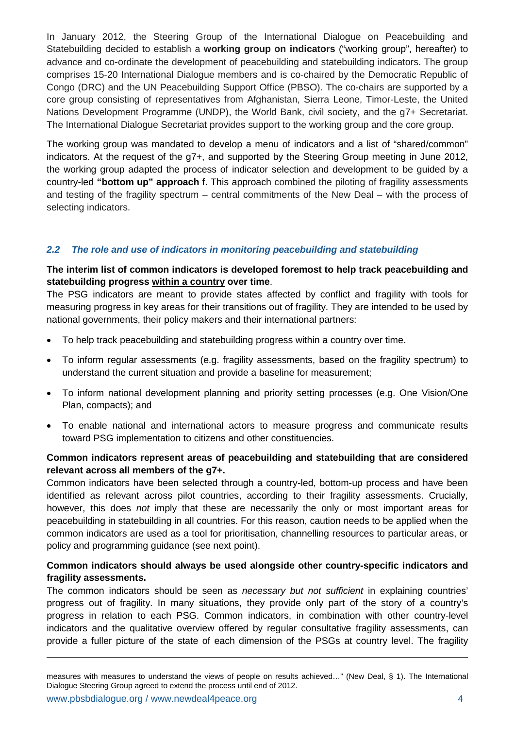In January 2012, the Steering Group of the International Dialogue on Peacebuilding and Statebuilding decided to establish a **working group on indicators** ("working group", hereafter) to advance and co-ordinate the development of peacebuilding and statebuilding indicators. The group comprises 15-20 International Dialogue members and is co-chaired by the Democratic Republic of Congo (DRC) and the UN Peacebuilding Support Office (PBSO). The co-chairs are supported by a core group consisting of representatives from Afghanistan, Sierra Leone, Timor-Leste, the United Nations Development Programme (UNDP), the World Bank, civil society, and the g7+ Secretariat. The International Dialogue Secretariat provides support to the working group and the core group.

The working group was mandated to develop a menu of indicators and a list of "shared/common" indicators. At the request of the g7+, and supported by the Steering Group meeting in June 2012, the working group adapted the process of indicator selection and development to be guided by a country-led **"bottom up" approach** f. This approach combined the piloting of fragility assessments and testing of the fragility spectrum – central commitments of the New Deal – with the process of selecting indicators.

#### *2.2 The role and use of indicators in monitoring peacebuilding and statebuilding*

#### **The interim list of common indicators is developed foremost to help track peacebuilding and statebuilding progress within a country over time**.

The PSG indicators are meant to provide states affected by conflict and fragility with tools for measuring progress in key areas for their transitions out of fragility. They are intended to be used by national governments, their policy makers and their international partners:

- To help track peacebuilding and statebuilding progress within a country over time.
- To inform regular assessments (e.g. fragility assessments, based on the fragility spectrum) to understand the current situation and provide a baseline for measurement;
- To inform national development planning and priority setting processes (e.g. One Vision/One Plan, compacts); and
- To enable national and international actors to measure progress and communicate results toward PSG implementation to citizens and other constituencies.

#### **Common indicators represent areas of peacebuilding and statebuilding that are considered relevant across all members of the g7+.**

Common indicators have been selected through a country-led, bottom-up process and have been identified as relevant across pilot countries, according to their fragility assessments. Crucially, however, this does *not* imply that these are necessarily the only or most important areas for peacebuilding in statebuilding in all countries. For this reason, caution needs to be applied when the common indicators are used as a tool for prioritisation, channelling resources to particular areas, or policy and programming guidance (see next point).

#### **Common indicators should always be used alongside other country-specific indicators and fragility assessments.**

The common indicators should be seen as *necessary but not sufficient* in explaining countries' progress out of fragility. In many situations, they provide only part of the story of a country's progress in relation to each PSG. Common indicators, in combination with other country-level indicators and the qualitative overview offered by regular consultative fragility assessments, can provide a fuller picture of the state of each dimension of the PSGs at country level. The fragility

-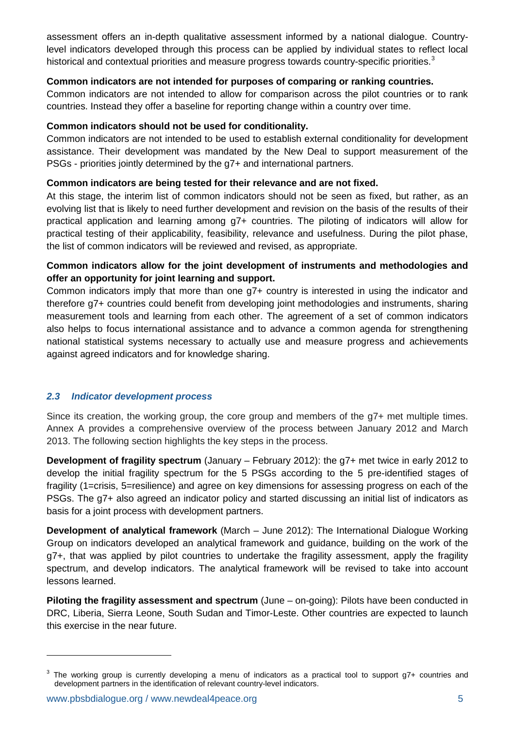assessment offers an in-depth qualitative assessment informed by a national dialogue. Countrylevel indicators developed through this process can be applied by individual states to reflect local historical and contextual priorities and measure progress towards country-specific priorities.<sup>[3](#page-4-0)</sup>

#### **Common indicators are not intended for purposes of comparing or ranking countries.**

Common indicators are not intended to allow for comparison across the pilot countries or to rank countries. Instead they offer a baseline for reporting change within a country over time.

#### **Common indicators should not be used for conditionality.**

Common indicators are not intended to be used to establish external conditionality for development assistance. Their development was mandated by the New Deal to support measurement of the PSGs - priorities jointly determined by the g7+ and international partners.

#### **Common indicators are being tested for their relevance and are not fixed.**

At this stage, the interim list of common indicators should not be seen as fixed, but rather, as an evolving list that is likely to need further development and revision on the basis of the results of their practical application and learning among g7+ countries. The piloting of indicators will allow for practical testing of their applicability, feasibility, relevance and usefulness. During the pilot phase, the list of common indicators will be reviewed and revised, as appropriate.

#### **Common indicators allow for the joint development of instruments and methodologies and offer an opportunity for joint learning and support.**

Common indicators imply that more than one g7+ country is interested in using the indicator and therefore g7+ countries could benefit from developing joint methodologies and instruments, sharing measurement tools and learning from each other. The agreement of a set of common indicators also helps to focus international assistance and to advance a common agenda for strengthening national statistical systems necessary to actually use and measure progress and achievements against agreed indicators and for knowledge sharing.

#### *2.3 Indicator development process*

Since its creation, the working group, the core group and members of the g7+ met multiple times. Annex A provides a comprehensive overview of the process between January 2012 and March 2013. The following section highlights the key steps in the process.

**Development of fragility spectrum** (January – February 2012): the g7+ met twice in early 2012 to develop the initial fragility spectrum for the 5 PSGs according to the 5 pre-identified stages of fragility (1=crisis, 5=resilience) and agree on key dimensions for assessing progress on each of the PSGs. The g7+ also agreed an indicator policy and started discussing an initial list of indicators as basis for a joint process with development partners.

**Development of analytical framework** (March – June 2012): The International Dialogue Working Group on indicators developed an analytical framework and guidance, building on the work of the g7+, that was applied by pilot countries to undertake the fragility assessment, apply the fragility spectrum, and develop indicators. The analytical framework will be revised to take into account lessons learned.

**Piloting the fragility assessment and spectrum** (June – on-going): Pilots have been conducted in DRC, Liberia, Sierra Leone, South Sudan and Timor-Leste. Other countries are expected to launch this exercise in the near future.

<u>.</u>

<span id="page-4-0"></span> $3$  The working group is currently developing a menu of indicators as a practical tool to support g7+ countries and development partners in the identification of relevant country-level indicators.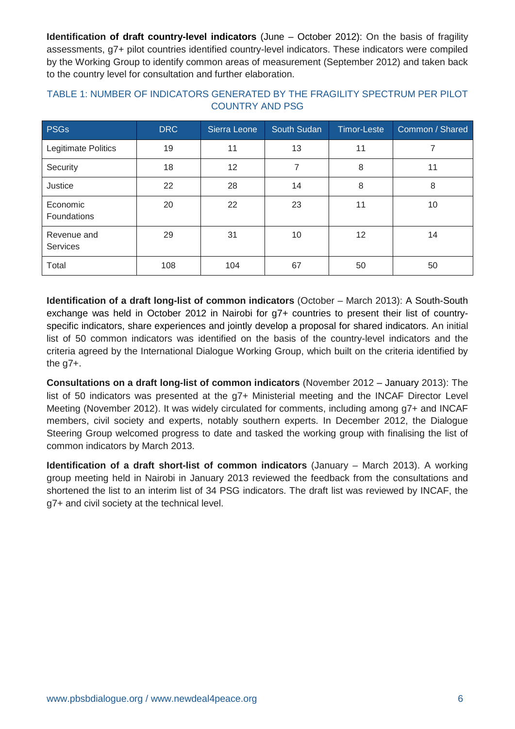**Identification of draft country-level indicators** (June – October 2012): On the basis of fragility assessments, g7+ pilot countries identified country-level indicators. These indicators were compiled by the Working Group to identify common areas of measurement (September 2012) and taken back to the country level for consultation and further elaboration.

| <b>PSGs</b>                    | DRC | Sierra Leone | South Sudan | <b>Timor-Leste</b> | Common / Shared |
|--------------------------------|-----|--------------|-------------|--------------------|-----------------|
| Legitimate Politics            | 19  | 11           | 13          | 11                 |                 |
| Security                       | 18  | 12           | 7           | 8                  | 11              |
| Justice                        | 22  | 28           | 14          | 8                  | 8               |
| Economic<br>Foundations        | 20  | 22           | 23          | 11                 | 10              |
| Revenue and<br><b>Services</b> | 29  | 31           | 10          | 12                 | 14              |
| Total                          | 108 | 104          | 67          | 50                 | 50              |

#### TABLE 1: NUMBER OF INDICATORS GENERATED BY THE FRAGILITY SPECTRUM PER PILOT COUNTRY AND PSG

**Identification of a draft long-list of common indicators** (October – March 2013): A South-South exchange was held in October 2012 in Nairobi for g7+ countries to present their list of countryspecific indicators, share experiences and jointly develop a proposal for shared indicators. An initial list of 50 common indicators was identified on the basis of the country-level indicators and the criteria agreed by the International Dialogue Working Group, which built on the criteria identified by the g7+.

**Consultations on a draft long-list of common indicators** (November 2012 – January 2013): The list of 50 indicators was presented at the g7+ Ministerial meeting and the INCAF Director Level Meeting (November 2012). It was widely circulated for comments, including among g7+ and INCAF members, civil society and experts, notably southern experts. In December 2012, the Dialogue Steering Group welcomed progress to date and tasked the working group with finalising the list of common indicators by March 2013.

**Identification of a draft short-list of common indicators** (January – March 2013). A working group meeting held in Nairobi in January 2013 reviewed the feedback from the consultations and shortened the list to an interim list of 34 PSG indicators. The draft list was reviewed by INCAF, the g7+ and civil society at the technical level.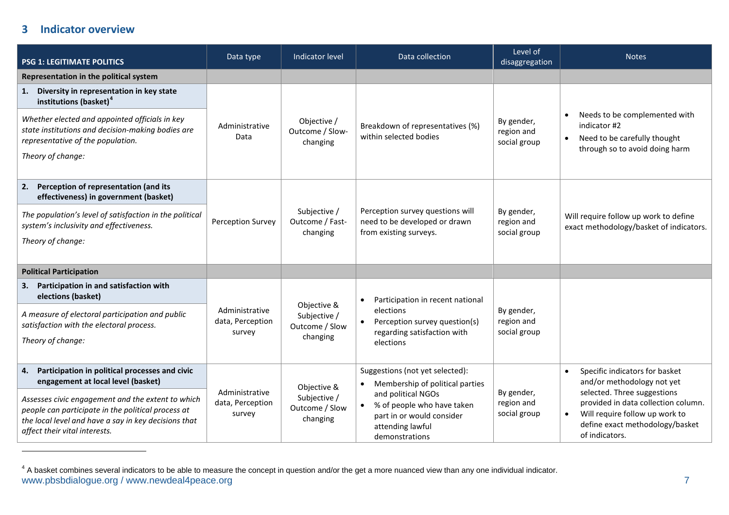### <span id="page-6-0"></span>**3 Indicator overview**

 $\overline{a}$ 

| <b>PSG 1: LEGITIMATE POLITICS</b>                                                                                                                                                                | Data type                                    | Indicator level                                           | Data collection                                                                                                                  | Level of<br>disaggregation               | <b>Notes</b>                                                                                                                                                                                                              |
|--------------------------------------------------------------------------------------------------------------------------------------------------------------------------------------------------|----------------------------------------------|-----------------------------------------------------------|----------------------------------------------------------------------------------------------------------------------------------|------------------------------------------|---------------------------------------------------------------------------------------------------------------------------------------------------------------------------------------------------------------------------|
| Representation in the political system                                                                                                                                                           |                                              |                                                           |                                                                                                                                  |                                          |                                                                                                                                                                                                                           |
| 1. Diversity in representation in key state<br>institutions (basket) <sup>4</sup>                                                                                                                |                                              |                                                           |                                                                                                                                  |                                          |                                                                                                                                                                                                                           |
| Whether elected and appointed officials in key<br>state institutions and decision-making bodies are<br>representative of the population.<br>Theory of change:                                    | Administrative<br>Data                       | Objective /<br>Outcome / Slow-<br>changing                | Breakdown of representatives (%)<br>within selected bodies                                                                       | By gender,<br>region and<br>social group | Needs to be complemented with<br>indicator #2<br>Need to be carefully thought<br>through so to avoid doing harm                                                                                                           |
| 2. Perception of representation (and its<br>effectiveness) in government (basket)                                                                                                                |                                              |                                                           |                                                                                                                                  |                                          |                                                                                                                                                                                                                           |
| The population's level of satisfaction in the political<br>system's inclusivity and effectiveness.<br>Theory of change:                                                                          | <b>Perception Survey</b>                     | Subjective /<br>Outcome / Fast-<br>changing               | Perception survey questions will<br>need to be developed or drawn<br>from existing surveys.                                      | By gender,<br>region and<br>social group | Will require follow up work to define<br>exact methodology/basket of indicators.                                                                                                                                          |
| <b>Political Participation</b>                                                                                                                                                                   |                                              |                                                           |                                                                                                                                  |                                          |                                                                                                                                                                                                                           |
| 3. Participation in and satisfaction with<br>elections (basket)                                                                                                                                  |                                              |                                                           | Participation in recent national<br>elections<br>Perception survey question(s)<br>regarding satisfaction with                    | By gender,<br>region and<br>social group |                                                                                                                                                                                                                           |
| A measure of electoral participation and public<br>satisfaction with the electoral process.                                                                                                      | Administrative<br>data, Perception<br>survey | Objective &<br>Subjective /<br>Outcome / Slow<br>changing |                                                                                                                                  |                                          |                                                                                                                                                                                                                           |
| Theory of change:                                                                                                                                                                                |                                              |                                                           | elections                                                                                                                        |                                          |                                                                                                                                                                                                                           |
| Participation in political processes and civic<br>4.<br>engagement at local level (basket)                                                                                                       |                                              | Objective &                                               | Suggestions (not yet selected):<br>Membership of political parties                                                               |                                          | Specific indicators for basket<br>and/or methodology not yet<br>selected. Three suggestions<br>provided in data collection column.<br>Will require follow up work to<br>define exact methodology/basket<br>of indicators. |
| Assesses civic engagement and the extent to which<br>people can participate in the political process at<br>the local level and have a say in key decisions that<br>affect their vital interests. | Administrative<br>data, Perception<br>survey | Subjective /<br>Outcome / Slow<br>changing                | and political NGOs<br>% of people who have taken<br>$\bullet$<br>part in or would consider<br>attending lawful<br>demonstrations | By gender,<br>region and<br>social group |                                                                                                                                                                                                                           |

www.pbsbdialogue.org / www.newdeal4peace.org 7  $^4$  A basket combines several indicators to be able to measure the concept in question and/or the get a more nuanced view than any one individual indicator.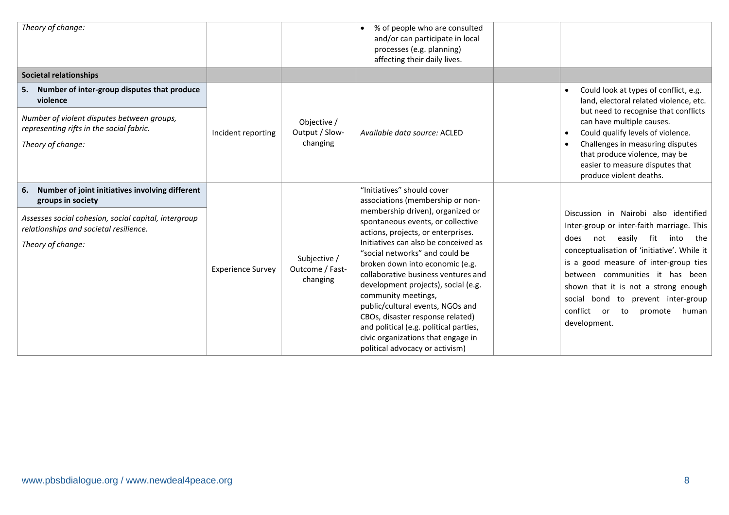| Theory of change:                                                                                                                                                                              |                          |                                             | % of people who are consulted<br>and/or can participate in local<br>processes (e.g. planning)<br>affecting their daily lives.                                                                                                                                                                                                                                                                                                                                                                                                                                                              |                                                                                                                                                                                                                                                                                                                                                                                                            |
|------------------------------------------------------------------------------------------------------------------------------------------------------------------------------------------------|--------------------------|---------------------------------------------|--------------------------------------------------------------------------------------------------------------------------------------------------------------------------------------------------------------------------------------------------------------------------------------------------------------------------------------------------------------------------------------------------------------------------------------------------------------------------------------------------------------------------------------------------------------------------------------------|------------------------------------------------------------------------------------------------------------------------------------------------------------------------------------------------------------------------------------------------------------------------------------------------------------------------------------------------------------------------------------------------------------|
| <b>Societal relationships</b>                                                                                                                                                                  |                          |                                             |                                                                                                                                                                                                                                                                                                                                                                                                                                                                                                                                                                                            |                                                                                                                                                                                                                                                                                                                                                                                                            |
| 5. Number of inter-group disputes that produce<br>violence<br>Number of violent disputes between groups,<br>representing rifts in the social fabric.<br>Theory of change:                      | Incident reporting       | Objective /<br>Output / Slow-<br>changing   | Available data source: ACLED                                                                                                                                                                                                                                                                                                                                                                                                                                                                                                                                                               | Could look at types of conflict, e.g.<br>land, electoral related violence, etc.<br>but need to recognise that conflicts<br>can have multiple causes.<br>Could qualify levels of violence.<br>Challenges in measuring disputes<br>that produce violence, may be<br>easier to measure disputes that<br>produce violent deaths.                                                                               |
| 6. Number of joint initiatives involving different<br>groups in society<br>Assesses social cohesion, social capital, intergroup<br>relationships and societal resilience.<br>Theory of change: | <b>Experience Survey</b> | Subjective /<br>Outcome / Fast-<br>changing | "Initiatives" should cover<br>associations (membership or non-<br>membership driven), organized or<br>spontaneous events, or collective<br>actions, projects, or enterprises.<br>Initiatives can also be conceived as<br>"social networks" and could be<br>broken down into economic (e.g.<br>collaborative business ventures and<br>development projects), social (e.g.<br>community meetings,<br>public/cultural events, NGOs and<br>CBOs, disaster response related)<br>and political (e.g. political parties,<br>civic organizations that engage in<br>political advocacy or activism) | Discussion in Nairobi also identified<br>Inter-group or inter-faith marriage. This<br>easily fit<br>into<br>the<br>does<br>not<br>conceptualisation of 'initiative'. While it<br>is a good measure of inter-group ties<br>between communities it has been<br>shown that it is not a strong enough<br>social bond to prevent inter-group<br>conflict<br>to<br>promote<br><b>or</b><br>human<br>development. |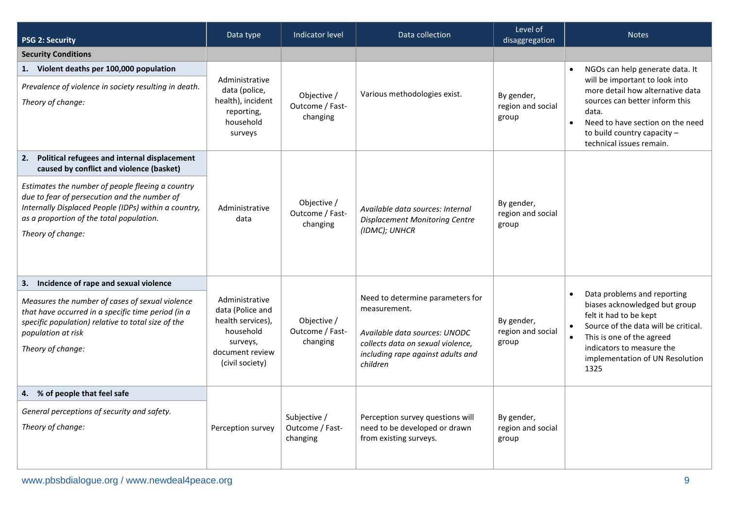| <b>PSG 2: Security</b>                                                                                                                                                                                                    | Data type                                                                                                              | Indicator level                             | Data collection                                                                                                                                                         | Level of<br>disaggregation               | <b>Notes</b>                                                                                                                                                                                                                                                 |
|---------------------------------------------------------------------------------------------------------------------------------------------------------------------------------------------------------------------------|------------------------------------------------------------------------------------------------------------------------|---------------------------------------------|-------------------------------------------------------------------------------------------------------------------------------------------------------------------------|------------------------------------------|--------------------------------------------------------------------------------------------------------------------------------------------------------------------------------------------------------------------------------------------------------------|
| <b>Security Conditions</b>                                                                                                                                                                                                |                                                                                                                        |                                             |                                                                                                                                                                         |                                          |                                                                                                                                                                                                                                                              |
| 1. Violent deaths per 100,000 population<br>Prevalence of violence in society resulting in death.<br>Theory of change:                                                                                                    | Administrative<br>data (police,<br>health), incident<br>reporting,<br>household<br>surveys                             | Objective /<br>Outcome / Fast-<br>changing  | Various methodologies exist.                                                                                                                                            | By gender,<br>region and social<br>group | NGOs can help generate data. It<br>will be important to look into<br>more detail how alternative data<br>sources can better inform this<br>data.<br>Need to have section on the need<br>$\bullet$<br>to build country capacity -<br>technical issues remain. |
| Political refugees and internal displacement<br>2.<br>caused by conflict and violence (basket)                                                                                                                            |                                                                                                                        |                                             |                                                                                                                                                                         |                                          |                                                                                                                                                                                                                                                              |
| Estimates the number of people fleeing a country<br>due to fear of persecution and the number of<br>Internally Displaced People (IDPs) within a country,<br>as a proportion of the total population.<br>Theory of change: | Administrative<br>data                                                                                                 | Objective /<br>Outcome / Fast-<br>changing  | Available data sources: Internal<br><b>Displacement Monitoring Centre</b><br>(IDMC); UNHCR                                                                              | By gender,<br>region and social<br>group |                                                                                                                                                                                                                                                              |
| 3. Incidence of rape and sexual violence                                                                                                                                                                                  |                                                                                                                        |                                             |                                                                                                                                                                         |                                          |                                                                                                                                                                                                                                                              |
| Measures the number of cases of sexual violence<br>that have occurred in a specific time period (in a<br>specific population) relative to total size of the<br>population at risk<br>Theory of change:                    | Administrative<br>data (Police and<br>health services),<br>household<br>surveys,<br>document review<br>(civil society) | Objective /<br>Outcome / Fast-<br>changing  | Need to determine parameters for<br>measurement.<br>Available data sources: UNODC<br>collects data on sexual violence,<br>including rape against adults and<br>children | By gender,<br>region and social<br>group | Data problems and reporting<br>biases acknowledged but group<br>felt it had to be kept<br>Source of the data will be critical.<br>This is one of the agreed<br>indicators to measure the<br>implementation of UN Resolution<br>1325                          |
| 4. % of people that feel safe                                                                                                                                                                                             |                                                                                                                        |                                             |                                                                                                                                                                         |                                          |                                                                                                                                                                                                                                                              |
| General perceptions of security and safety.<br>Theory of change:                                                                                                                                                          | Perception survey                                                                                                      | Subjective /<br>Outcome / Fast-<br>changing | Perception survey questions will<br>need to be developed or drawn<br>from existing surveys.                                                                             | By gender,<br>region and social<br>group |                                                                                                                                                                                                                                                              |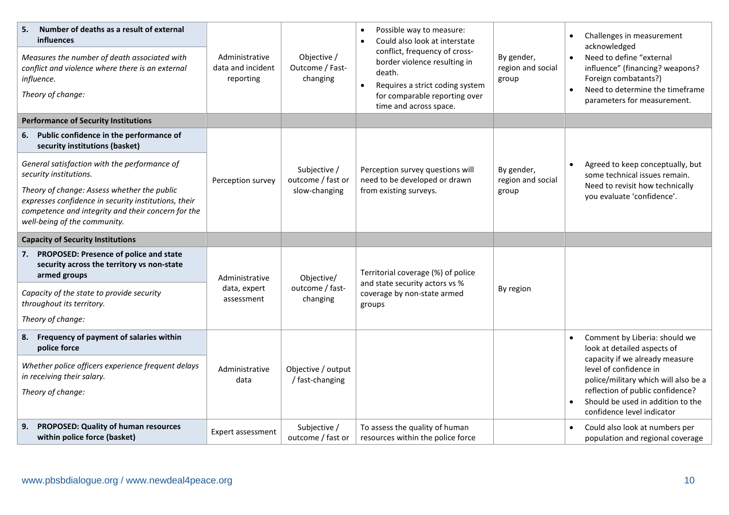| 5.<br>Number of deaths as a result of external<br>influences<br>Measures the number of death associated with<br>conflict and violence where there is an external<br>influence.<br>Theory of change: | Administrative<br>data and incident<br>reporting | Objective /<br>Outcome / Fast-<br>changing | Possible way to measure:<br>Could also look at interstate<br>$\bullet$<br>conflict, frequency of cross-<br>border violence resulting in<br>death.<br>Requires a strict coding system<br>$\bullet$<br>for comparable reporting over<br>time and across space. | By gender,<br>region and social<br>group | Challenges in measurement<br>acknowledged<br>Need to define "external<br>$\bullet$<br>influence" (financing? weapons?<br>Foreign combatants?)<br>Need to determine the timeframe<br>parameters for measurement. |
|-----------------------------------------------------------------------------------------------------------------------------------------------------------------------------------------------------|--------------------------------------------------|--------------------------------------------|--------------------------------------------------------------------------------------------------------------------------------------------------------------------------------------------------------------------------------------------------------------|------------------------------------------|-----------------------------------------------------------------------------------------------------------------------------------------------------------------------------------------------------------------|
| <b>Performance of Security Institutions</b>                                                                                                                                                         |                                                  |                                            |                                                                                                                                                                                                                                                              |                                          |                                                                                                                                                                                                                 |
| 6. Public confidence in the performance of<br>security institutions (basket)                                                                                                                        |                                                  |                                            |                                                                                                                                                                                                                                                              |                                          |                                                                                                                                                                                                                 |
| General satisfaction with the performance of<br>security institutions.                                                                                                                              | Perception survey                                | Subjective /<br>outcome / fast or          | Perception survey questions will<br>need to be developed or drawn                                                                                                                                                                                            | By gender,<br>region and social          | Agreed to keep conceptually, but<br>some technical issues remain.                                                                                                                                               |
| Theory of change: Assess whether the public<br>expresses confidence in security institutions, their<br>competence and integrity and their concern for the<br>well-being of the community.           |                                                  | slow-changing                              | from existing surveys.                                                                                                                                                                                                                                       | group                                    | Need to revisit how technically<br>you evaluate 'confidence'.                                                                                                                                                   |
| <b>Capacity of Security Institutions</b>                                                                                                                                                            |                                                  |                                            |                                                                                                                                                                                                                                                              |                                          |                                                                                                                                                                                                                 |
| 7. PROPOSED: Presence of police and state<br>security across the territory vs non-state<br>armed groups                                                                                             | Administrative                                   | Objective/                                 | Territorial coverage (%) of police<br>and state security actors vs %                                                                                                                                                                                         |                                          |                                                                                                                                                                                                                 |
| Capacity of the state to provide security<br>throughout its territory.                                                                                                                              | data, expert<br>assessment                       | outcome / fast-<br>changing                | coverage by non-state armed<br>groups                                                                                                                                                                                                                        | By region                                |                                                                                                                                                                                                                 |
| Theory of change:                                                                                                                                                                                   |                                                  |                                            |                                                                                                                                                                                                                                                              |                                          |                                                                                                                                                                                                                 |
| 8. Frequency of payment of salaries within<br>police force                                                                                                                                          |                                                  |                                            |                                                                                                                                                                                                                                                              |                                          | Comment by Liberia: should we<br>look at detailed aspects of                                                                                                                                                    |
| Whether police officers experience frequent delays<br>in receiving their salary.                                                                                                                    | Administrative<br>data                           | Objective / output<br>/ fast-changing      |                                                                                                                                                                                                                                                              |                                          | capacity if we already measure<br>level of confidence in<br>police/military which will also be a                                                                                                                |
| Theory of change:                                                                                                                                                                                   |                                                  |                                            |                                                                                                                                                                                                                                                              |                                          | reflection of public confidence?                                                                                                                                                                                |
|                                                                                                                                                                                                     |                                                  |                                            |                                                                                                                                                                                                                                                              |                                          | Should be used in addition to the<br>confidence level indicator                                                                                                                                                 |
| 9. PROPOSED: Quality of human resources<br>within police force (basket)                                                                                                                             | Expert assessment                                | Subjective /<br>outcome / fast or          | To assess the quality of human<br>resources within the police force                                                                                                                                                                                          |                                          | Could also look at numbers per<br>population and regional coverage                                                                                                                                              |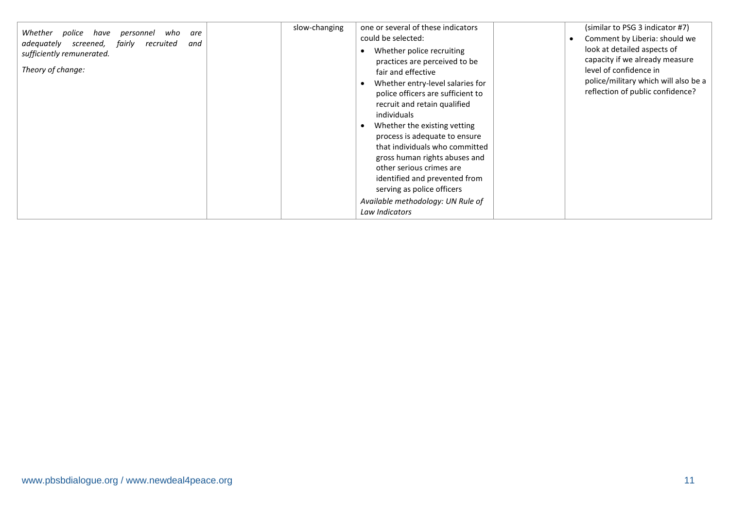| Whether<br>police<br>have<br>personnel<br>who<br>are<br>fairly<br>recruited<br>adequately<br>screened,<br>and<br>sufficiently remunerated.<br>Theory of change: | slow-changing | one or several of these indicators<br>could be selected:<br>Whether police recruiting<br>practices are perceived to be<br>fair and effective<br>Whether entry-level salaries for<br>police officers are sufficient to<br>recruit and retain qualified<br>individuals<br>Whether the existing vetting<br>process is adequate to ensure<br>that individuals who committed<br>gross human rights abuses and<br>other serious crimes are<br>identified and prevented from<br>serving as police officers<br>Available methodology: UN Rule of<br>Law Indicators | (similar to PSG 3 indicator #7)<br>Comment by Liberia: should we<br>look at detailed aspects of<br>capacity if we already measure<br>level of confidence in<br>police/military which will also be a<br>reflection of public confidence? |
|-----------------------------------------------------------------------------------------------------------------------------------------------------------------|---------------|------------------------------------------------------------------------------------------------------------------------------------------------------------------------------------------------------------------------------------------------------------------------------------------------------------------------------------------------------------------------------------------------------------------------------------------------------------------------------------------------------------------------------------------------------------|-----------------------------------------------------------------------------------------------------------------------------------------------------------------------------------------------------------------------------------------|
|-----------------------------------------------------------------------------------------------------------------------------------------------------------------|---------------|------------------------------------------------------------------------------------------------------------------------------------------------------------------------------------------------------------------------------------------------------------------------------------------------------------------------------------------------------------------------------------------------------------------------------------------------------------------------------------------------------------------------------------------------------------|-----------------------------------------------------------------------------------------------------------------------------------------------------------------------------------------------------------------------------------------|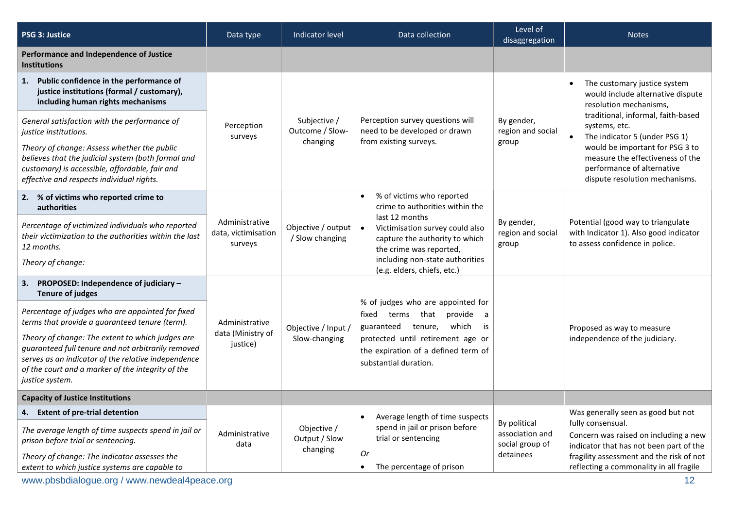| <b>PSG 3: Justice</b>                                                                                                                                                                                                                 | Data type                                        | Indicator level                          | Data collection                                                                                                                                                                                                          | Level of<br>disaggregation               | <b>Notes</b>                                                                                                                        |
|---------------------------------------------------------------------------------------------------------------------------------------------------------------------------------------------------------------------------------------|--------------------------------------------------|------------------------------------------|--------------------------------------------------------------------------------------------------------------------------------------------------------------------------------------------------------------------------|------------------------------------------|-------------------------------------------------------------------------------------------------------------------------------------|
| Performance and Independence of Justice<br><b>Institutions</b>                                                                                                                                                                        |                                                  |                                          |                                                                                                                                                                                                                          |                                          |                                                                                                                                     |
| 1. Public confidence in the performance of<br>justice institutions (formal / customary),<br>including human rights mechanisms                                                                                                         |                                                  |                                          |                                                                                                                                                                                                                          |                                          | The customary justice system<br>would include alternative dispute<br>resolution mechanisms,                                         |
| General satisfaction with the performance of<br>justice institutions.                                                                                                                                                                 | Perception                                       | Subjective /<br>Outcome / Slow-          | Perception survey questions will<br>need to be developed or drawn                                                                                                                                                        | By gender,<br>region and social          | traditional, informal, faith-based<br>systems, etc.<br>The indicator 5 (under PSG 1)<br>$\bullet$                                   |
| Theory of change: Assess whether the public<br>believes that the judicial system (both formal and<br>customary) is accessible, affordable, fair and<br>effective and respects individual rights.                                      | surveys                                          | changing                                 | from existing surveys.                                                                                                                                                                                                   | group                                    | would be important for PSG 3 to<br>measure the effectiveness of the<br>performance of alternative<br>dispute resolution mechanisms. |
| 2. % of victims who reported crime to<br><b>authorities</b>                                                                                                                                                                           |                                                  |                                          | % of victims who reported<br>$\bullet$<br>crime to authorities within the                                                                                                                                                |                                          |                                                                                                                                     |
| Percentage of victimized individuals who reported<br>their victimization to the authorities within the last<br>12 months.                                                                                                             | Administrative<br>data, victimisation<br>surveys | Objective / output<br>/ Slow changing    | last 12 months<br>$\bullet$<br>Victimisation survey could also<br>capture the authority to which<br>the crime was reported,                                                                                              | By gender,<br>region and social<br>group | Potential (good way to triangulate<br>with Indicator 1). Also good indicator<br>to assess confidence in police.                     |
| Theory of change:                                                                                                                                                                                                                     |                                                  |                                          | including non-state authorities<br>(e.g. elders, chiefs, etc.)                                                                                                                                                           |                                          |                                                                                                                                     |
| 3. PROPOSED: Independence of judiciary -<br><b>Tenure of judges</b>                                                                                                                                                                   |                                                  |                                          |                                                                                                                                                                                                                          |                                          |                                                                                                                                     |
| Percentage of judges who are appointed for fixed<br>terms that provide a guaranteed tenure (term).                                                                                                                                    | Administrative                                   | Objective / Input /<br>Slow-changing     | % of judges who are appointed for<br>that<br>provide<br>fixed<br>terms<br>a<br>which<br>guaranteed<br>tenure,<br>is<br>protected until retirement age or<br>the expiration of a defined term of<br>substantial duration. |                                          | Proposed as way to measure                                                                                                          |
| Theory of change: The extent to which judges are<br>guaranteed full tenure and not arbitrarily removed<br>serves as an indicator of the relative independence<br>of the court and a marker of the integrity of the<br>justice system. | data (Ministry of<br>justice)                    |                                          |                                                                                                                                                                                                                          |                                          | independence of the judiciary.                                                                                                      |
| <b>Capacity of Justice Institutions</b>                                                                                                                                                                                               |                                                  |                                          |                                                                                                                                                                                                                          |                                          |                                                                                                                                     |
| 4. Extent of pre-trial detention                                                                                                                                                                                                      |                                                  |                                          | Average length of time suspects                                                                                                                                                                                          | By political                             | Was generally seen as good but not<br>fully consensual.                                                                             |
| The average length of time suspects spend in jail or<br>prison before trial or sentencing.                                                                                                                                            | Administrative<br>data                           | Objective /<br>Output / Slow<br>changing | spend in jail or prison before<br>trial or sentencing                                                                                                                                                                    | association and<br>social group of       | Concern was raised on including a new<br>indicator that has not been part of the                                                    |
| Theory of change: The indicator assesses the<br>extent to which justice systems are capable to                                                                                                                                        |                                                  |                                          | Or<br>The percentage of prison<br>$\bullet$                                                                                                                                                                              | detainees                                | fragility assessment and the risk of not<br>reflecting a commonality in all fragile                                                 |
| www.pbsbdialogue.org / www.newdeal4peace.org                                                                                                                                                                                          |                                                  |                                          |                                                                                                                                                                                                                          |                                          | 12                                                                                                                                  |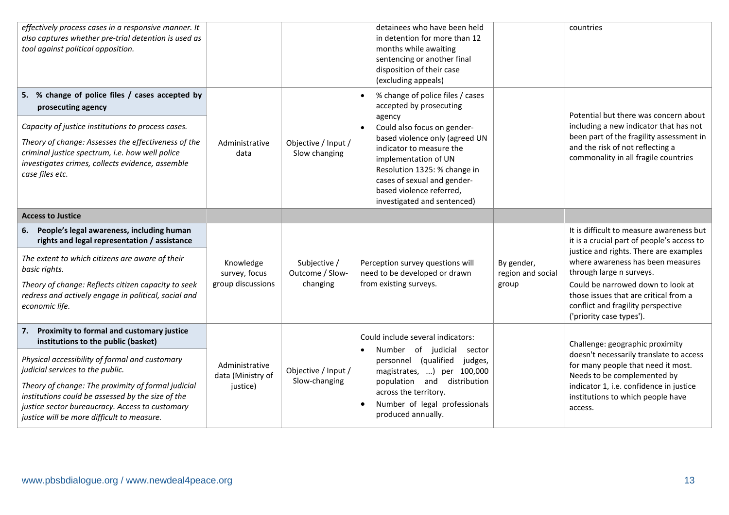| effectively process cases in a responsive manner. It<br>also captures whether pre-trial detention is used as<br>tool against political opposition.                                                                                                                                                           |                                                 |                                             | detainees who have been held<br>in detention for more than 12<br>months while awaiting<br>sentencing or another final<br>disposition of their case<br>(excluding appeals)                                                                                                                                                         |                                          | countries                                                                                                                                                                                                                                                                                                                                         |
|--------------------------------------------------------------------------------------------------------------------------------------------------------------------------------------------------------------------------------------------------------------------------------------------------------------|-------------------------------------------------|---------------------------------------------|-----------------------------------------------------------------------------------------------------------------------------------------------------------------------------------------------------------------------------------------------------------------------------------------------------------------------------------|------------------------------------------|---------------------------------------------------------------------------------------------------------------------------------------------------------------------------------------------------------------------------------------------------------------------------------------------------------------------------------------------------|
| 5. % change of police files / cases accepted by<br>prosecuting agency<br>Capacity of justice institutions to process cases.<br>Theory of change: Assesses the effectiveness of the<br>criminal justice spectrum, i.e. how well police<br>investigates crimes, collects evidence, assemble<br>case files etc. | Administrative<br>data                          | Objective / Input /<br>Slow changing        | % change of police files / cases<br>accepted by prosecuting<br>agency<br>Could also focus on gender-<br>$\bullet$<br>based violence only (agreed UN<br>indicator to measure the<br>implementation of UN<br>Resolution 1325: % change in<br>cases of sexual and gender-<br>based violence referred,<br>investigated and sentenced) |                                          | Potential but there was concern about<br>including a new indicator that has not<br>been part of the fragility assessment in<br>and the risk of not reflecting a<br>commonality in all fragile countries                                                                                                                                           |
| <b>Access to Justice</b>                                                                                                                                                                                                                                                                                     |                                                 |                                             |                                                                                                                                                                                                                                                                                                                                   |                                          |                                                                                                                                                                                                                                                                                                                                                   |
| 6. People's legal awareness, including human<br>rights and legal representation / assistance<br>The extent to which citizens are aware of their<br>basic rights.<br>Theory of change: Reflects citizen capacity to seek<br>redress and actively engage in political, social and<br>economic life.            | Knowledge<br>survey, focus<br>group discussions | Subjective /<br>Outcome / Slow-<br>changing | Perception survey questions will<br>need to be developed or drawn<br>from existing surveys.                                                                                                                                                                                                                                       | By gender,<br>region and social<br>group | It is difficult to measure awareness but<br>it is a crucial part of people's access to<br>justice and rights. There are examples<br>where awareness has been measures<br>through large n surveys.<br>Could be narrowed down to look at<br>those issues that are critical from a<br>conflict and fragility perspective<br>('priority case types'). |
| Proximity to formal and customary justice<br>7.<br>institutions to the public (basket)<br>Physical accessibility of formal and customary<br>judicial services to the public.<br>Theory of change: The proximity of formal judicial                                                                           | Administrative<br>data (Ministry of             | Objective / Input /<br>Slow-changing        | Could include several indicators:<br>Number of<br>judicial<br>sector<br>$\bullet$<br>(qualified<br>judges,<br>personnel<br>magistrates, ) per 100,000<br>population and distribution                                                                                                                                              |                                          | Challenge: geographic proximity<br>doesn't necessarily translate to access<br>for many people that need it most.<br>Needs to be complemented by                                                                                                                                                                                                   |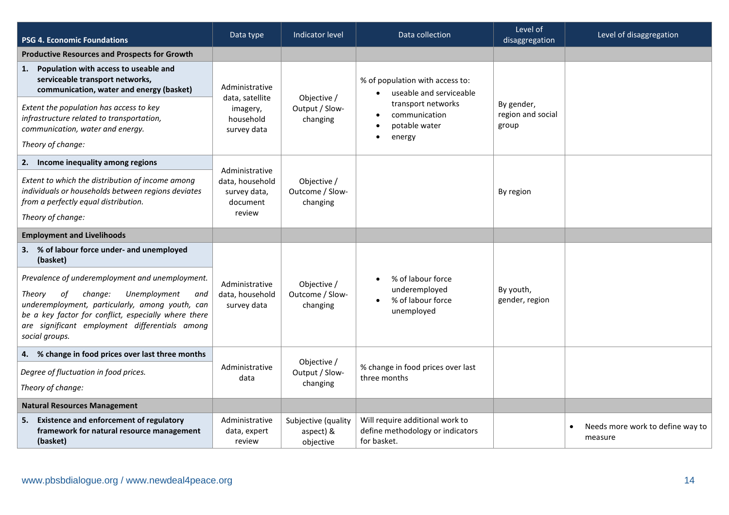| <b>PSG 4. Economic Foundations</b>                                                                                                                                                                                                                                               | Data type                                             | Indicator level                               | Data collection                                                                    | Level of<br>disaggregation               | Level of disaggregation                                  |
|----------------------------------------------------------------------------------------------------------------------------------------------------------------------------------------------------------------------------------------------------------------------------------|-------------------------------------------------------|-----------------------------------------------|------------------------------------------------------------------------------------|------------------------------------------|----------------------------------------------------------|
| <b>Productive Resources and Prospects for Growth</b>                                                                                                                                                                                                                             |                                                       |                                               |                                                                                    |                                          |                                                          |
| Population with access to useable and<br>1.<br>serviceable transport networks,<br>communication, water and energy (basket)                                                                                                                                                       | Administrative<br>data, satellite                     | Objective /                                   | % of population with access to:<br>useable and serviceable                         |                                          |                                                          |
| Extent the population has access to key<br>infrastructure related to transportation,<br>communication, water and energy.                                                                                                                                                         | imagery,<br>household<br>survey data                  | Output / Slow-<br>changing                    | transport networks<br>communication<br>potable water<br>energy<br>$\bullet$        | By gender,<br>region and social<br>group |                                                          |
| Theory of change:                                                                                                                                                                                                                                                                |                                                       |                                               |                                                                                    |                                          |                                                          |
| 2. Income inequality among regions                                                                                                                                                                                                                                               | Administrative                                        |                                               |                                                                                    |                                          |                                                          |
| Extent to which the distribution of income among<br>individuals or households between regions deviates<br>from a perfectly equal distribution.<br>Theory of change:                                                                                                              | data, household<br>survey data,<br>document<br>review | Objective /<br>Outcome / Slow-<br>changing    |                                                                                    | By region                                |                                                          |
| <b>Employment and Livelihoods</b>                                                                                                                                                                                                                                                |                                                       |                                               |                                                                                    |                                          |                                                          |
| 3. % of labour force under- and unemployed<br>(basket)                                                                                                                                                                                                                           |                                                       |                                               |                                                                                    |                                          |                                                          |
| Prevalence of underemployment and unemployment.<br>Theory<br>of<br>change:<br>Unemployment<br>and<br>underemployment, particularly, among youth, can<br>be a key factor for conflict, especially where there<br>are significant employment differentials among<br>social groups. | Administrative<br>data, household<br>survey data      | Objective /<br>Outcome / Slow-<br>changing    | % of labour force<br>underemployed<br>% of labour force<br>$\bullet$<br>unemployed | By youth,<br>gender, region              |                                                          |
| 4. % change in food prices over last three months                                                                                                                                                                                                                                |                                                       |                                               |                                                                                    |                                          |                                                          |
| Degree of fluctuation in food prices.                                                                                                                                                                                                                                            | Administrative                                        | Objective /<br>Output / Slow-                 | % change in food prices over last<br>three months                                  |                                          |                                                          |
| Theory of change:                                                                                                                                                                                                                                                                | data                                                  | changing                                      |                                                                                    |                                          |                                                          |
| <b>Natural Resources Management</b>                                                                                                                                                                                                                                              |                                                       |                                               |                                                                                    |                                          |                                                          |
| <b>Existence and enforcement of regulatory</b><br>5.<br>framework for natural resource management<br>(basket)                                                                                                                                                                    | Administrative<br>data, expert<br>review              | Subjective (quality<br>aspect) &<br>objective | Will require additional work to<br>define methodology or indicators<br>for basket. |                                          | Needs more work to define way to<br>$\bullet$<br>measure |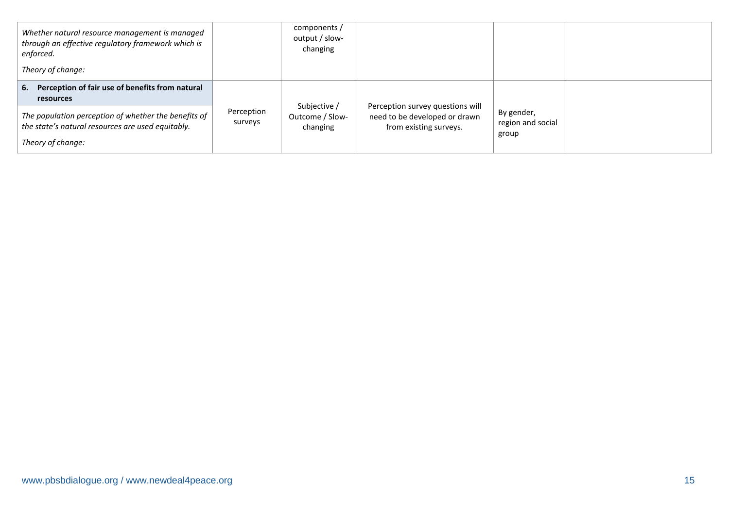| Whether natural resource management is managed<br>through an effective regulatory framework which is<br>enforced.              |                       | components /<br>output / slow-<br>changing  |                                                                                             |                                          |  |
|--------------------------------------------------------------------------------------------------------------------------------|-----------------------|---------------------------------------------|---------------------------------------------------------------------------------------------|------------------------------------------|--|
| Theory of change:                                                                                                              |                       |                                             |                                                                                             |                                          |  |
| 6. Perception of fair use of benefits from natural<br>resources                                                                |                       |                                             |                                                                                             |                                          |  |
| The population perception of whether the benefits of<br>the state's natural resources are used equitably.<br>Theory of change: | Perception<br>surveys | Subjective /<br>Outcome / Slow-<br>changing | Perception survey questions will<br>need to be developed or drawn<br>from existing surveys. | By gender,<br>region and social<br>group |  |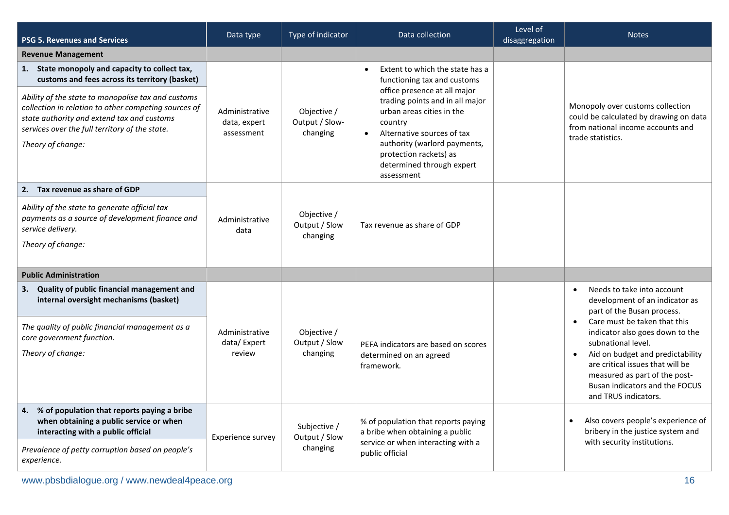| <b>PSG 5. Revenues and Services</b>                                                                                                                                                                                                                                                                                                 | Data type                                    | Type of indicator                         | Data collection                                                                                                                                                                                                                                                                                                           | Level of<br>disaggregation | <b>Notes</b>                                                                                                                                                                                                                                                                                                                                                                     |
|-------------------------------------------------------------------------------------------------------------------------------------------------------------------------------------------------------------------------------------------------------------------------------------------------------------------------------------|----------------------------------------------|-------------------------------------------|---------------------------------------------------------------------------------------------------------------------------------------------------------------------------------------------------------------------------------------------------------------------------------------------------------------------------|----------------------------|----------------------------------------------------------------------------------------------------------------------------------------------------------------------------------------------------------------------------------------------------------------------------------------------------------------------------------------------------------------------------------|
| <b>Revenue Management</b>                                                                                                                                                                                                                                                                                                           |                                              |                                           |                                                                                                                                                                                                                                                                                                                           |                            |                                                                                                                                                                                                                                                                                                                                                                                  |
| 1. State monopoly and capacity to collect tax,<br>customs and fees across its territory (basket)<br>Ability of the state to monopolise tax and customs<br>collection in relation to other competing sources of<br>state authority and extend tax and customs<br>services over the full territory of the state.<br>Theory of change: | Administrative<br>data, expert<br>assessment | Objective /<br>Output / Slow-<br>changing | Extent to which the state has a<br>$\bullet$<br>functioning tax and customs<br>office presence at all major<br>trading points and in all major<br>urban areas cities in the<br>country<br>Alternative sources of tax<br>authority (warlord payments,<br>protection rackets) as<br>determined through expert<br>assessment |                            | Monopoly over customs collection<br>could be calculated by drawing on data<br>from national income accounts and<br>trade statistics.                                                                                                                                                                                                                                             |
| 2. Tax revenue as share of GDP                                                                                                                                                                                                                                                                                                      |                                              |                                           |                                                                                                                                                                                                                                                                                                                           |                            |                                                                                                                                                                                                                                                                                                                                                                                  |
| Ability of the state to generate official tax<br>payments as a source of development finance and<br>service delivery.<br>Theory of change:                                                                                                                                                                                          | Administrative<br>data                       | Objective /<br>Output / Slow<br>changing  | Tax revenue as share of GDP                                                                                                                                                                                                                                                                                               |                            |                                                                                                                                                                                                                                                                                                                                                                                  |
| <b>Public Administration</b>                                                                                                                                                                                                                                                                                                        |                                              |                                           |                                                                                                                                                                                                                                                                                                                           |                            |                                                                                                                                                                                                                                                                                                                                                                                  |
| 3. Quality of public financial management and<br>internal oversight mechanisms (basket)<br>The quality of public financial management as a<br>core government function.<br>Theory of change:                                                                                                                                        | Administrative<br>data/Expert<br>review      | Objective /<br>Output / Slow<br>changing  | PEFA indicators are based on scores<br>determined on an agreed<br>framework.                                                                                                                                                                                                                                              |                            | Needs to take into account<br>$\bullet$<br>development of an indicator as<br>part of the Busan process.<br>Care must be taken that this<br>$\bullet$<br>indicator also goes down to the<br>subnational level.<br>Aid on budget and predictability<br>are critical issues that will be<br>measured as part of the post-<br>Busan indicators and the FOCUS<br>and TRUS indicators. |
| 4. % of population that reports paying a bribe<br>when obtaining a public service or when<br>interacting with a public official                                                                                                                                                                                                     | Experience survey                            | Subjective /<br>Output / Slow             | % of population that reports paying<br>a bribe when obtaining a public                                                                                                                                                                                                                                                    |                            | Also covers people's experience of<br>$\bullet$<br>bribery in the justice system and                                                                                                                                                                                                                                                                                             |
| Prevalence of petty corruption based on people's<br>experience.                                                                                                                                                                                                                                                                     |                                              | changing                                  | service or when interacting with a<br>public official                                                                                                                                                                                                                                                                     |                            | with security institutions.                                                                                                                                                                                                                                                                                                                                                      |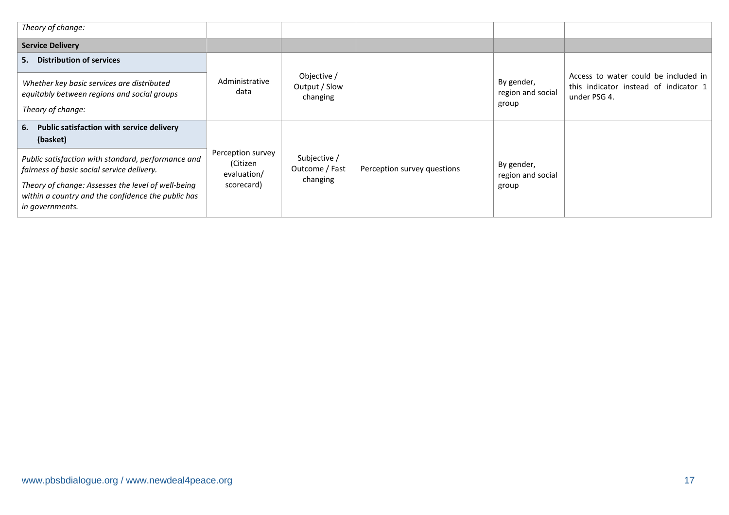| Theory of change:                                                                                                                                                                                                               |                                                            |                                            |                             |                                          |                                                                                               |
|---------------------------------------------------------------------------------------------------------------------------------------------------------------------------------------------------------------------------------|------------------------------------------------------------|--------------------------------------------|-----------------------------|------------------------------------------|-----------------------------------------------------------------------------------------------|
| <b>Service Delivery</b>                                                                                                                                                                                                         |                                                            |                                            |                             |                                          |                                                                                               |
| <b>Distribution of services</b><br>5.                                                                                                                                                                                           |                                                            |                                            |                             |                                          |                                                                                               |
| Whether key basic services are distributed<br>equitably between regions and social groups<br>Theory of change:                                                                                                                  | Administrative<br>data                                     | Objective /<br>Output / Slow<br>changing   |                             | By gender,<br>region and social<br>group | Access to water could be included in<br>this indicator instead of indicator 1<br>under PSG 4. |
| Public satisfaction with service delivery<br>6.<br>(basket)                                                                                                                                                                     |                                                            |                                            |                             |                                          |                                                                                               |
| Public satisfaction with standard, performance and<br>fairness of basic social service delivery.<br>Theory of change: Assesses the level of well-being<br>within a country and the confidence the public has<br>in governments. | Perception survey<br>(Citizen<br>evaluation/<br>scorecard) | Subjective /<br>Outcome / Fast<br>changing | Perception survey questions | By gender,<br>region and social<br>group |                                                                                               |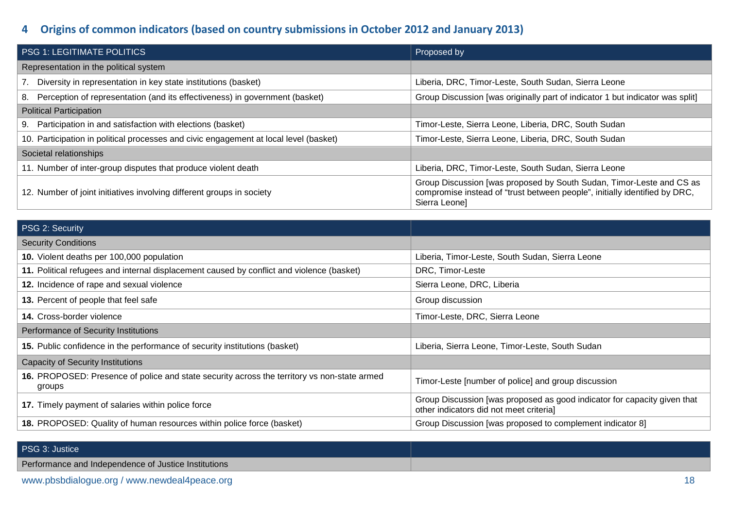# **4 Origins of common indicators (based on country submissions in October 2012 and January 2013)**

| <b>PSG 1: LEGITIMATE POLITICS</b>                                                     | Proposed by                                                                                                                                                         |
|---------------------------------------------------------------------------------------|---------------------------------------------------------------------------------------------------------------------------------------------------------------------|
| Representation in the political system                                                |                                                                                                                                                                     |
| 7. Diversity in representation in key state institutions (basket)                     | Liberia, DRC, Timor-Leste, South Sudan, Sierra Leone                                                                                                                |
| 8. Perception of representation (and its effectiveness) in government (basket)        | Group Discussion [was originally part of indicator 1 but indicator was split]                                                                                       |
| <b>Political Participation</b>                                                        |                                                                                                                                                                     |
| 9. Participation in and satisfaction with elections (basket)                          | Timor-Leste, Sierra Leone, Liberia, DRC, South Sudan                                                                                                                |
| 10. Participation in political processes and civic engagement at local level (basket) | Timor-Leste, Sierra Leone, Liberia, DRC, South Sudan                                                                                                                |
| Societal relationships                                                                |                                                                                                                                                                     |
| 11. Number of inter-group disputes that produce violent death                         | Liberia, DRC, Timor-Leste, South Sudan, Sierra Leone                                                                                                                |
| 12. Number of joint initiatives involving different groups in society                 | Group Discussion [was proposed by South Sudan, Timor-Leste and CS as<br>compromise instead of "trust between people", initially identified by DRC,<br>Sierra Leonel |

| PSG 2: Security                                                                                       |                                                                                                                     |
|-------------------------------------------------------------------------------------------------------|---------------------------------------------------------------------------------------------------------------------|
| <b>Security Conditions</b>                                                                            |                                                                                                                     |
| 10. Violent deaths per 100,000 population                                                             | Liberia, Timor-Leste, South Sudan, Sierra Leone                                                                     |
| 11. Political refugees and internal displacement caused by conflict and violence (basket)             | DRC, Timor-Leste                                                                                                    |
| 12. Incidence of rape and sexual violence                                                             | Sierra Leone, DRC, Liberia                                                                                          |
| 13. Percent of people that feel safe                                                                  | Group discussion                                                                                                    |
| 14. Cross-border violence                                                                             | Timor-Leste, DRC, Sierra Leone                                                                                      |
| Performance of Security Institutions                                                                  |                                                                                                                     |
| 15. Public confidence in the performance of security institutions (basket)                            | Liberia, Sierra Leone, Timor-Leste, South Sudan                                                                     |
| <b>Capacity of Security Institutions</b>                                                              |                                                                                                                     |
| 16. PROPOSED: Presence of police and state security across the territory vs non-state armed<br>groups | Timor-Leste [number of police] and group discussion                                                                 |
| 17. Timely payment of salaries within police force                                                    | Group Discussion [was proposed as good indicator for capacity given that<br>other indicators did not meet criterial |
| 18. PROPOSED: Quality of human resources within police force (basket)                                 | Group Discussion [was proposed to complement indicator 8]                                                           |

| PSG 3: Justice                                       |  |
|------------------------------------------------------|--|
| Performance and Independence of Justice Institutions |  |
|                                                      |  |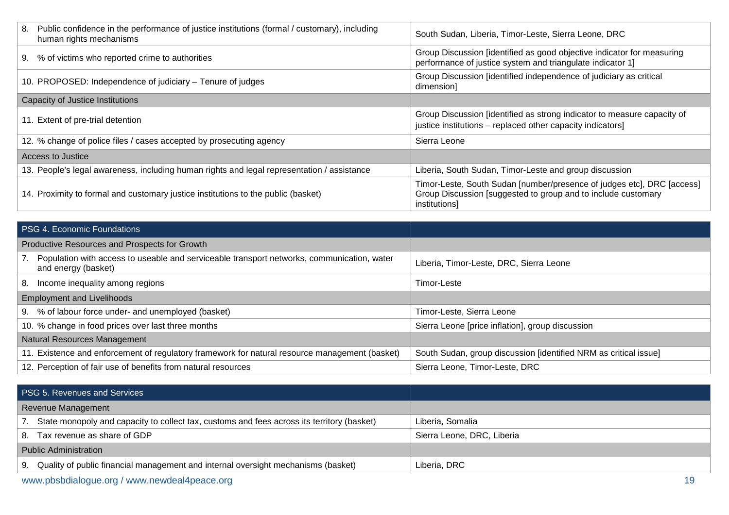| Public confidence in the performance of justice institutions (formal / customary), including<br>8.<br>human rights mechanisms | South Sudan, Liberia, Timor-Leste, Sierra Leone, DRC                                                                                                     |
|-------------------------------------------------------------------------------------------------------------------------------|----------------------------------------------------------------------------------------------------------------------------------------------------------|
| 9. % of victims who reported crime to authorities                                                                             | Group Discussion [identified as good objective indicator for measuring<br>performance of justice system and triangulate indicator 1]                     |
| 10. PROPOSED: Independence of judiciary – Tenure of judges                                                                    | Group Discussion [identified independence of judiciary as critical<br>dimension]                                                                         |
| Capacity of Justice Institutions                                                                                              |                                                                                                                                                          |
| 11. Extent of pre-trial detention                                                                                             | Group Discussion [identified as strong indicator to measure capacity of<br>justice institutions - replaced other capacity indicators]                    |
| 12. % change of police files / cases accepted by prosecuting agency                                                           | Sierra Leone                                                                                                                                             |
| Access to Justice                                                                                                             |                                                                                                                                                          |
| 13. People's legal awareness, including human rights and legal representation / assistance                                    | Liberia, South Sudan, Timor-Leste and group discussion                                                                                                   |
| 14. Proximity to formal and customary justice institutions to the public (basket)                                             | Timor-Leste, South Sudan [number/presence of judges etc], DRC [access]<br>Group Discussion [suggested to group and to include customary<br>institutions] |

| <b>PSG 4. Economic Foundations</b>                                                                                   |                                                                  |
|----------------------------------------------------------------------------------------------------------------------|------------------------------------------------------------------|
| Productive Resources and Prospects for Growth                                                                        |                                                                  |
| 7. Population with access to useable and serviceable transport networks, communication, water<br>and energy (basket) | Liberia, Timor-Leste, DRC, Sierra Leone                          |
| Income inequality among regions<br>8.                                                                                | Timor-Leste                                                      |
| <b>Employment and Livelihoods</b>                                                                                    |                                                                  |
| 9. % of labour force under- and unemployed (basket)                                                                  | Timor-Leste, Sierra Leone                                        |
| 10. % change in food prices over last three months                                                                   | Sierra Leone [price inflation], group discussion                 |
| Natural Resources Management                                                                                         |                                                                  |
| 11. Existence and enforcement of regulatory framework for natural resource management (basket)                       | South Sudan, group discussion [identified NRM as critical issue] |
| 12. Perception of fair use of benefits from natural resources                                                        | Sierra Leone, Timor-Leste, DRC                                   |

| <b>PSG 5. Revenues and Services</b> |                                                                                               |                            |
|-------------------------------------|-----------------------------------------------------------------------------------------------|----------------------------|
| Revenue Management                  |                                                                                               |                            |
|                                     | 7. State monopoly and capacity to collect tax, customs and fees across its territory (basket) | Liberia, Somalia           |
|                                     | 8. Tax revenue as share of GDP                                                                | Sierra Leone, DRC, Liberia |
| <b>Public Administration</b>        |                                                                                               |                            |
|                                     | 9. Quality of public financial management and internal oversight mechanisms (basket)          | Liberia, DRC               |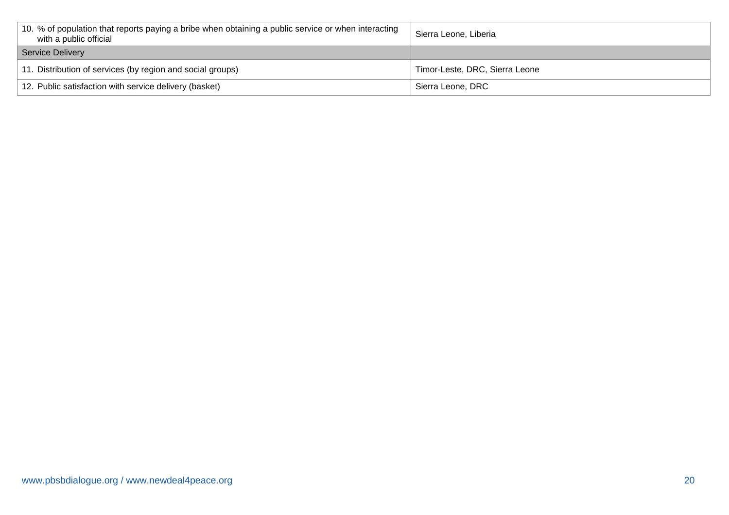| 10. % of population that reports paying a bribe when obtaining a public service or when interacting<br>with a public official | Sierra Leone, Liberia          |
|-------------------------------------------------------------------------------------------------------------------------------|--------------------------------|
| Service Delivery                                                                                                              |                                |
| 11. Distribution of services (by region and social groups)                                                                    | Timor-Leste, DRC, Sierra Leone |
| 12. Public satisfaction with service delivery (basket)                                                                        | Sierra Leone, DRC              |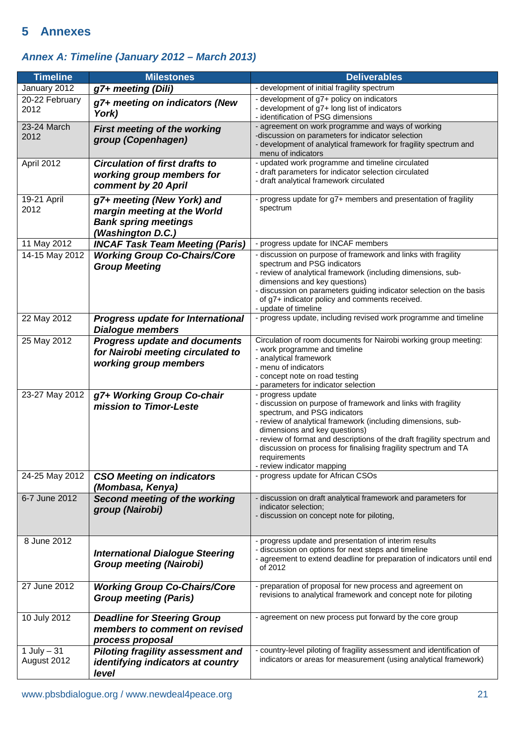# **5 Annexes**

# *Annex A: Timeline (January 2012 – March 2013)*

| <b>Timeline</b>               | <b>Milestones</b>                                                                                             | <b>Deliverables</b>                                                                                                                                                                                                                                                                                                                                                                                            |
|-------------------------------|---------------------------------------------------------------------------------------------------------------|----------------------------------------------------------------------------------------------------------------------------------------------------------------------------------------------------------------------------------------------------------------------------------------------------------------------------------------------------------------------------------------------------------------|
| January 2012                  | g7+ meeting (Dili)                                                                                            | - development of initial fragility spectrum                                                                                                                                                                                                                                                                                                                                                                    |
| 20-22 February<br>2012        | g7+ meeting on indicators (New<br>York)                                                                       | - development of g7+ policy on indicators<br>- development of g7+ long list of indicators<br>- identification of PSG dimensions                                                                                                                                                                                                                                                                                |
| 23-24 March<br>2012           | First meeting of the working<br>group (Copenhagen)                                                            | - agreement on work programme and ways of working<br>-discussion on parameters for indicator selection<br>- development of analytical framework for fragility spectrum and<br>menu of indicators                                                                                                                                                                                                               |
| April 2012                    | <b>Circulation of first drafts to</b><br>working group members for<br>comment by 20 April                     | - updated work programme and timeline circulated<br>- draft parameters for indicator selection circulated<br>- draft analytical framework circulated                                                                                                                                                                                                                                                           |
| 19-21 April<br>2012           | g7+ meeting (New York) and<br>margin meeting at the World<br><b>Bank spring meetings</b><br>(Washington D.C.) | - progress update for g7+ members and presentation of fragility<br>spectrum                                                                                                                                                                                                                                                                                                                                    |
| 11 May 2012                   | <b>INCAF Task Team Meeting (Paris)</b>                                                                        | - progress update for INCAF members                                                                                                                                                                                                                                                                                                                                                                            |
| 14-15 May 2012                | <b>Working Group Co-Chairs/Core</b><br><b>Group Meeting</b>                                                   | - discussion on purpose of framework and links with fragility<br>spectrum and PSG indicators<br>- review of analytical framework (including dimensions, sub-<br>dimensions and key questions)<br>- discussion on parameters guiding indicator selection on the basis<br>of g7+ indicator policy and comments received.<br>- update of timeline                                                                 |
| 22 May 2012                   | <b>Progress update for International</b><br><b>Dialogue members</b>                                           | - progress update, including revised work programme and timeline                                                                                                                                                                                                                                                                                                                                               |
| 25 May 2012                   | <b>Progress update and documents</b><br>for Nairobi meeting circulated to<br>working group members            | Circulation of room documents for Nairobi working group meeting:<br>- work programme and timeline<br>- analytical framework<br>- menu of indicators<br>- concept note on road testing<br>- parameters for indicator selection                                                                                                                                                                                  |
| 23-27 May 2012                | g7+ Working Group Co-chair<br>mission to Timor-Leste                                                          | - progress update<br>- discussion on purpose of framework and links with fragility<br>spectrum, and PSG indicators<br>- review of analytical framework (including dimensions, sub-<br>dimensions and key questions)<br>- review of format and descriptions of the draft fragility spectrum and<br>discussion on process for finalising fragility spectrum and TA<br>requirements<br>- review indicator mapping |
| 24-25 May 2012                | <b>CSO Meeting on indicators</b><br>(Mombasa, Kenya)                                                          | - progress update for African CSOs                                                                                                                                                                                                                                                                                                                                                                             |
| 6-7 June 2012                 | Second meeting of the working<br>group (Nairobi)                                                              | - discussion on draft analytical framework and parameters for<br>indicator selection;<br>- discussion on concept note for piloting,                                                                                                                                                                                                                                                                            |
| 8 June 2012                   | <b>International Dialogue Steering</b><br><b>Group meeting (Nairobi)</b>                                      | - progress update and presentation of interim results<br>- discussion on options for next steps and timeline<br>- agreement to extend deadline for preparation of indicators until end<br>of 2012                                                                                                                                                                                                              |
| 27 June 2012                  | <b>Working Group Co-Chairs/Core</b><br><b>Group meeting (Paris)</b>                                           | - preparation of proposal for new process and agreement on<br>revisions to analytical framework and concept note for piloting                                                                                                                                                                                                                                                                                  |
| 10 July 2012                  | <b>Deadline for Steering Group</b><br>members to comment on revised<br>process proposal                       | - agreement on new process put forward by the core group                                                                                                                                                                                                                                                                                                                                                       |
| $1$ July $-31$<br>August 2012 | <b>Piloting fragility assessment and</b><br>identifying indicators at country<br>level                        | - country-level piloting of fragility assessment and identification of<br>indicators or areas for measurement (using analytical framework)                                                                                                                                                                                                                                                                     |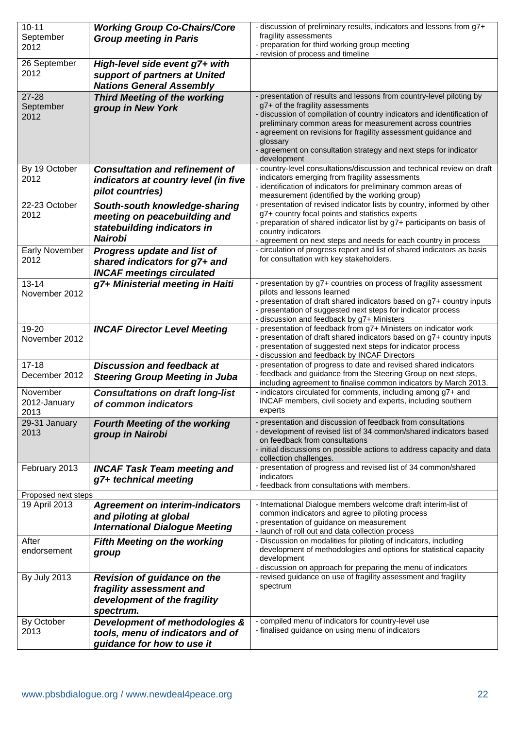| $10 - 11$<br>September               | <b>Working Group Co-Chairs/Core</b><br><b>Group meeting in Paris</b> | - discussion of preliminary results, indicators and lessons from g7+<br>fragility assessments                                         |
|--------------------------------------|----------------------------------------------------------------------|---------------------------------------------------------------------------------------------------------------------------------------|
| 2012                                 |                                                                      | - preparation for third working group meeting<br>- revision of process and timeline                                                   |
| 26 September<br>2012                 | High-level side event g7+ with                                       |                                                                                                                                       |
|                                      | support of partners at United<br><b>Nations General Assembly</b>     |                                                                                                                                       |
| $27 - 28$<br>September               | <b>Third Meeting of the working</b><br>group in New York             | - presentation of results and lessons from country-level piloting by<br>g7+ of the fragility assessments                              |
| 2012                                 |                                                                      | - discussion of compilation of country indicators and identification of<br>preliminary common areas for measurement across countries  |
|                                      |                                                                      | - agreement on revisions for fragility assessment guidance and<br>glossary                                                            |
|                                      |                                                                      | - agreement on consultation strategy and next steps for indicator<br>development                                                      |
| By 19 October<br>2012                | <b>Consultation and refinement of</b>                                | - country-level consultations/discussion and technical review on draft<br>indicators emerging from fragility assessments              |
|                                      | indicators at country level (in five<br>pilot countries)             | - identification of indicators for preliminary common areas of<br>measurement (identified by the working group)                       |
| 22-23 October                        | South-south knowledge-sharing                                        | - presentation of revised indicator lists by country, informed by other<br>g7+ country focal points and statistics experts            |
| 2012                                 | meeting on peacebuilding and<br>statebuilding indicators in          | - preparation of shared indicator list by g7+ participants on basis of                                                                |
|                                      | <b>Nairobi</b>                                                       | country indicators<br>- agreement on next steps and needs for each country in process                                                 |
| <b>Early November</b><br>2012        | Progress update and list of<br>shared indicators for g7+ and         | - circulation of progress report and list of shared indicators as basis<br>for consultation with key stakeholders.                    |
|                                      | <b>INCAF meetings circulated</b>                                     |                                                                                                                                       |
| $13 - 14$<br>November 2012           | g7+ Ministerial meeting in Haiti                                     | - presentation by g7+ countries on process of fragility assessment<br>pilots and lessons learned                                      |
|                                      |                                                                      | - presentation of draft shared indicators based on g7+ country inputs<br>- presentation of suggested next steps for indicator process |
| 19-20                                | <b>INCAF Director Level Meeting</b>                                  | - discussion and feedback by g7+ Ministers<br>- presentation of feedback from g7+ Ministers on indicator work                         |
| November 2012                        |                                                                      | - presentation of draft shared indicators based on g7+ country inputs<br>- presentation of suggested next steps for indicator process |
| $17 - 18$                            | <b>Discussion and feedback at</b>                                    | - discussion and feedback by INCAF Directors<br>- presentation of progress to date and revised shared indicators                      |
| December 2012                        | <b>Steering Group Meeting in Juba</b>                                | - feedback and guidance from the Steering Group on next steps,<br>including agreement to finalise common indicators by March 2013.    |
| November<br>2012-January             | <b>Consultations on draft long-list</b><br>of common indicators      | - indicators circulated for comments, including among g7+ and<br>INCAF members, civil society and experts, including southern         |
| 2013                                 |                                                                      | experts                                                                                                                               |
| 29-31 January<br>2013                | <b>Fourth Meeting of the working</b><br>group in Nairobi             | - presentation and discussion of feedback from consultations<br>- development of revised list of 34 common/shared indicators based    |
|                                      |                                                                      | on feedback from consultations<br>- initial discussions on possible actions to address capacity and data                              |
| February 2013                        | <b>INCAF Task Team meeting and</b>                                   | collection challenges.<br>- presentation of progress and revised list of 34 common/shared                                             |
|                                      | g7+ technical meeting                                                | indicators<br>- feedback from consultations with members.                                                                             |
| Proposed next steps<br>19 April 2013 |                                                                      | - International Dialogue members welcome draft interim-list of                                                                        |
|                                      | <b>Agreement on interim-indicators</b><br>and piloting at global     | common indicators and agree to piloting process                                                                                       |
|                                      | <b>International Dialogue Meeting</b>                                | - presentation of guidance on measurement<br>- launch of roll out and data collection process                                         |
| After<br>endorsement                 | <b>Fifth Meeting on the working</b><br>group                         | - Discussion on modalities for piloting of indicators, including<br>development of methodologies and options for statistical capacity |
|                                      |                                                                      | development<br>- discussion on approach for preparing the menu of indicators                                                          |
| <b>By July 2013</b>                  | <b>Revision of guidance on the</b>                                   | - revised guidance on use of fragility assessment and fragility<br>spectrum                                                           |
|                                      | fragility assessment and<br>development of the fragility             |                                                                                                                                       |
|                                      | spectrum.                                                            |                                                                                                                                       |
| By October<br>2013                   | Development of methodologies &<br>tools, menu of indicators and of   | - compiled menu of indicators for country-level use<br>- finalised guidance on using menu of indicators                               |
|                                      | guidance for how to use it                                           |                                                                                                                                       |